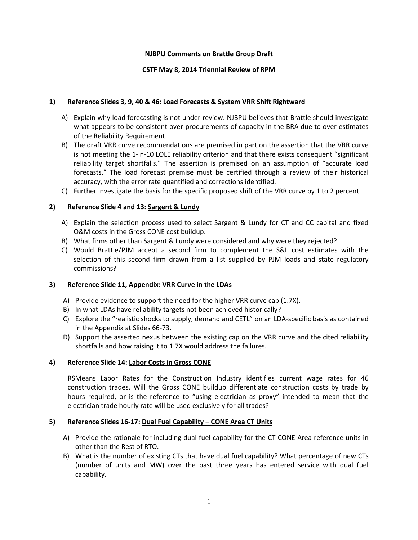## **NJBPU Comments on Brattle Group Draft**

# **CSTF May 8, 2014 Triennial Review of RPM**

## **1) Reference Slides 3, 9, 40 & 46: Load Forecasts & System VRR Shift Rightward**

- A) Explain why load forecasting is not under review. NJBPU believes that Brattle should investigate what appears to be consistent over-procurements of capacity in the BRA due to over-estimates of the Reliability Requirement.
- B) The draft VRR curve recommendations are premised in part on the assertion that the VRR curve is not meeting the 1-in-10 LOLE reliability criterion and that there exists consequent "significant reliability target shortfalls." The assertion is premised on an assumption of "accurate load forecasts." The load forecast premise must be certified through a review of their historical accuracy, with the error rate quantified and corrections identified.
- C) Further investigate the basis for the specific proposed shift of the VRR curve by 1 to 2 percent.

# **2) Reference Slide 4 and 13: Sargent & Lundy**

- A) Explain the selection process used to select Sargent & Lundy for CT and CC capital and fixed O&M costs in the Gross CONE cost buildup.
- B) What firms other than Sargent & Lundy were considered and why were they rejected?
- C) Would Brattle/PJM accept a second firm to complement the S&L cost estimates with the selection of this second firm drawn from a list supplied by PJM loads and state regulatory commissions?

## **3) Reference Slide 11, Appendix: VRR Curve in the LDAs**

- A) Provide evidence to support the need for the higher VRR curve cap (1.7X).
- B) In what LDAs have reliability targets not been achieved historically?
- C) Explore the "realistic shocks to supply, demand and CETL" on an LDA-specific basis as contained in the Appendix at Slides 66-73.
- D) Support the asserted nexus between the existing cap on the VRR curve and the cited reliability shortfalls and how raising it to 1.7X would address the failures.

## **4) Reference Slide 14: Labor Costs in Gross CONE**

RSMeans Labor Rates for the Construction Industry identifies current wage rates for 46 construction trades. Will the Gross CONE buildup differentiate construction costs by trade by hours required, or is the reference to "using electrician as proxy" intended to mean that the electrician trade hourly rate will be used exclusively for all trades?

## **5) Reference Slides 16-17: Dual Fuel Capability – CONE Area CT Units**

- A) Provide the rationale for including dual fuel capability for the CT CONE Area reference units in other than the Rest of RTO.
- B) What is the number of existing CTs that have dual fuel capability? What percentage of new CTs (number of units and MW) over the past three years has entered service with dual fuel capability.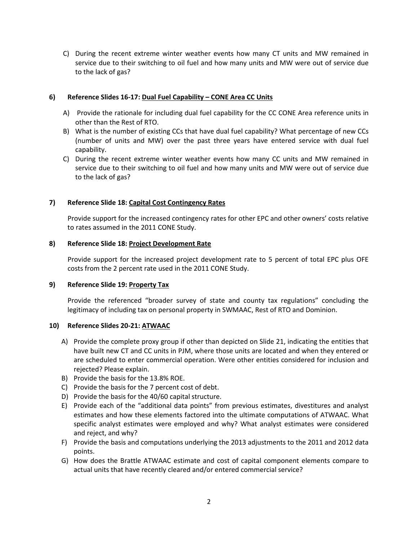C) During the recent extreme winter weather events how many CT units and MW remained in service due to their switching to oil fuel and how many units and MW were out of service due to the lack of gas?

#### **6) Reference Slides 16-17: Dual Fuel Capability – CONE Area CC Units**

- A) Provide the rationale for including dual fuel capability for the CC CONE Area reference units in other than the Rest of RTO.
- B) What is the number of existing CCs that have dual fuel capability? What percentage of new CCs (number of units and MW) over the past three years have entered service with dual fuel capability.
- C) During the recent extreme winter weather events how many CC units and MW remained in service due to their switching to oil fuel and how many units and MW were out of service due to the lack of gas?

## **7) Reference Slide 18: Capital Cost Contingency Rates**

Provide support for the increased contingency rates for other EPC and other owners' costs relative to rates assumed in the 2011 CONE Study.

#### **8) Reference Slide 18: Project Development Rate**

Provide support for the increased project development rate to 5 percent of total EPC plus OFE costs from the 2 percent rate used in the 2011 CONE Study.

## **9) Reference Slide 19: Property Tax**

Provide the referenced "broader survey of state and county tax regulations" concluding the legitimacy of including tax on personal property in SWMAAC, Rest of RTO and Dominion.

#### **10) Reference Slides 20-21: ATWAAC**

- A) Provide the complete proxy group if other than depicted on Slide 21, indicating the entities that have built new CT and CC units in PJM, where those units are located and when they entered or are scheduled to enter commercial operation. Were other entities considered for inclusion and rejected? Please explain.
- B) Provide the basis for the 13.8% ROE.
- C) Provide the basis for the 7 percent cost of debt.
- D) Provide the basis for the 40/60 capital structure.
- E) Provide each of the "additional data points" from previous estimates, divestitures and analyst estimates and how these elements factored into the ultimate computations of ATWAAC. What specific analyst estimates were employed and why? What analyst estimates were considered and reject, and why?
- F) Provide the basis and computations underlying the 2013 adjustments to the 2011 and 2012 data points.
- G) How does the Brattle ATWAAC estimate and cost of capital component elements compare to actual units that have recently cleared and/or entered commercial service?